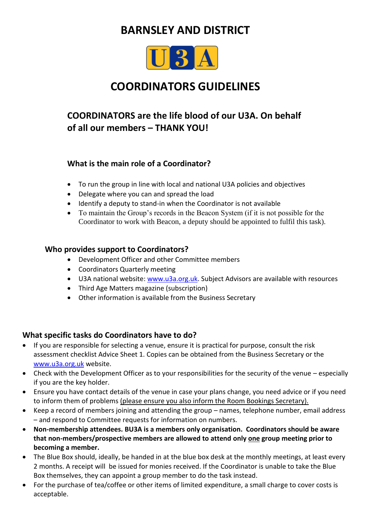# **BARNSLEY AND DISTRICT**



# **COORDINATORS GUIDELINES**

# **COORDINATORS are the life blood of our U3A. On behalf of all our members – THANK YOU!**

### **What is the main role of a Coordinator?**

- To run the group in line with local and national U3A policies and objectives
- Delegate where you can and spread the load
- Identify a deputy to stand-in when the Coordinator is not available
- To maintain the Group's records in the Beacon System (if it is not possible for the Coordinator to work with Beacon, a deputy should be appointed to fulfil this task).

### **Who provides support to Coordinators?**

- Development Officer and other Committee members
- Coordinators Quarterly meeting
- U3A national website: [www.u3a.org.uk.](http://www.u3a.org.uk/) Subject Advisors are available with resources
- Third Age Matters magazine (subscription)
- Other information is available from the Business Secretary

# **What specific tasks do Coordinators have to do?**

- If you are responsible for selecting a venue, ensure it is practical for purpose, consult the risk assessment checklist Advice Sheet 1. Copies can be obtained from the Business Secretary or the [www.u3a.org.uk](http://www.u3a.org.uk/) website.
- Check with the Development Officer as to your responsibilities for the security of the venue especially if you are the key holder.
- Ensure you have contact details of the venue in case your plans change, you need advice or if you need to inform them of problems (please ensure you also inform the Room Bookings Secretary).
- Keep a record of members joining and attending the group names, telephone number, email address – and respond to Committee requests for information on numbers.
- **Non-membership attendees. BU3A is a members only organisation. Coordinators should be aware that non-members/prospective members are allowed to attend only one group meeting prior to becoming a member.**
- The Blue Box should, ideally, be handed in at the blue box desk at the monthly meetings, at least every 2 months. A receipt will be issued for monies received. If the Coordinator is unable to take the Blue Box themselves, they can appoint a group member to do the task instead.
- For the purchase of tea/coffee or other items of limited expenditure, a small charge to cover costs is acceptable.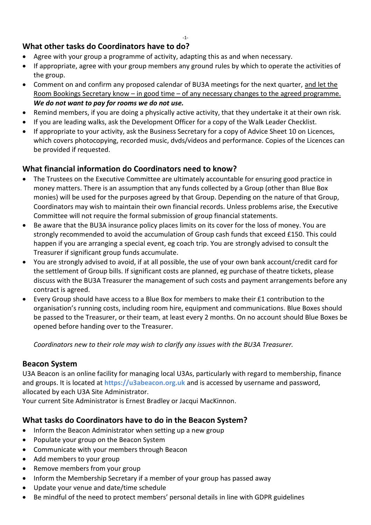### **What other tasks do Coordinators have to do?**

- Agree with your group a programme of activity, adapting this as and when necessary.
- If appropriate, agree with your group members any ground rules by which to operate the activities of the group.
- Comment on and confirm any proposed calendar of BU3A meetings for the next quarter, and let the Room Bookings Secretary know – in good time – of any necessary changes to the agreed programme. *We do not want to pay for rooms we do not use.*
- Remind members, if you are doing a physically active activity, that they undertake it at their own risk.
- If you are leading walks, ask the Development Officer for a copy of the Walk Leader Checklist.
- If appropriate to your activity, ask the Business Secretary for a copy of Advice Sheet 10 on Licences, which covers photocopying, recorded music, dvds/videos and performance. Copies of the Licences can be provided if requested.

# **What financial information do Coordinators need to know?**

- The Trustees on the Executive Committee are ultimately accountable for ensuring good practice in money matters. There is an assumption that any funds collected by a Group (other than Blue Box monies) will be used for the purposes agreed by that Group. Depending on the nature of that Group, Coordinators may wish to maintain their own financial records. Unless problems arise, the Executive Committee will not require the formal submission of group financial statements.
- Be aware that the BU3A insurance policy places limits on its cover for the loss of money. You are strongly recommended to avoid the accumulation of Group cash funds that exceed £150. This could happen if you are arranging a special event, eg coach trip. You are strongly advised to consult the Treasurer if significant group funds accumulate.
- You are strongly advised to avoid, if at all possible, the use of your own bank account/credit card for the settlement of Group bills. If significant costs are planned, eg purchase of theatre tickets, please discuss with the BU3A Treasurer the management of such costs and payment arrangements before any contract is agreed.
- Every Group should have access to a Blue Box for members to make their £1 contribution to the organisation's running costs, including room hire, equipment and communications. Blue Boxes should be passed to the Treasurer, or their team, at least every 2 months. On no account should Blue Boxes be opened before handing over to the Treasurer.

*Coordinators new to their role may wish to clarify any issues with the BU3A Treasurer.*

### **Beacon System**

U3A Beacon is an online facility for managing local U3As, particularly with regard to membership, finance and groups. It is located at **https://u3abeacon.org.uk** and is accessed by username and password, allocated by each U3A Site Administrator.

Your current Site Administrator is Ernest Bradley or Jacqui MacKinnon.

# **What tasks do Coordinators have to do in the Beacon System?**

- Inform the Beacon Administrator when setting up a new group
- Populate your group on the Beacon System
- Communicate with your members through Beacon
- Add members to your group
- Remove members from your group
- Inform the Membership Secretary if a member of your group has passed away
- Update your venue and date/time schedule
- Be mindful of the need to protect members' personal details in line with GDPR guidelines